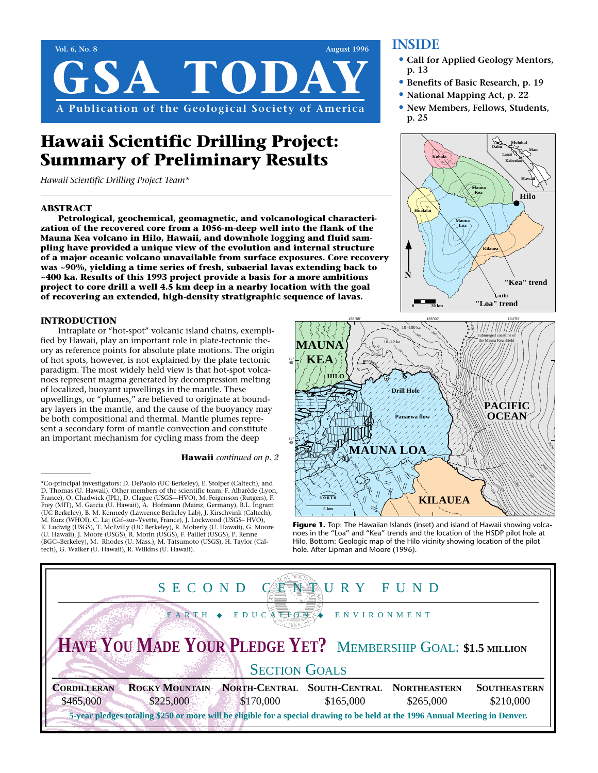

# **Hawaii Scientific Drilling Project: Summary of Preliminary Results**

*Hawaii Scientific Drilling Project Team\**

# **ABSTRACT**

**Petrological, geochemical, geomagnetic, and volcanological characterization of the recovered core from a 1056-m-deep well into the flank of the Mauna Kea volcano in Hilo, Hawaii, and downhole logging and fluid sampling have provided a unique view of the evolution and internal structure of a major oceanic volcano unavailable from surface exposures. Core recovery was ~90%, yielding a time series of fresh, subaerial lavas extending back to ~400 ka. Results of this 1993 project provide a basis for a more ambitious project to core drill a well 4.5 km deep in a nearby location with the goal of recovering an extended, high-density stratigraphic sequence of lavas.**

# **INTRODUCTION**

Intraplate or "hot-spot" volcanic island chains, exemplified by Hawaii, play an important role in plate-tectonic theory as reference points for absolute plate motions. The origin of hot spots, however, is not explained by the plate tectonic paradigm. The most widely held view is that hot-spot volcanoes represent magma generated by decompression melting of localized, buoyant upwellings in the mantle. These upwellings, or "plumes," are believed to originate at boundary layers in the mantle, and the cause of the buoyancy may be both compositional and thermal. Mantle plumes represent a secondary form of mantle convection and constitute an important mechanism for cycling mass from the deep

#### **Hawaii** *continued on p. 2*

# **INSIDE**

- **• Call for Applied Geology Mentors, p. 13**
- **• Benefits of Basic Research, p. 19**
- **• National Mapping Act, p. 22**
- **• New Members, Fellows, Students, p. 25**





Figure 1. Top: The Hawaiian Islands (inset) and island of Hawaii showing volcanoes in the "Loa" and "Kea" trends and the location of the HSDP pilot hole at Hilo. Bottom: Geologic map of the Hilo vicinity showing location of the pilot hole. After Lipman and Moore (1996).



<sup>\*</sup>Co-principal investigators: D. DePaolo (UC Berkeley), E. Stolper (Caltech), and D. Thomas (U. Hawaii). Other members of the scientific team: F. Albarède (Lyon, France), O. Chadwick (JPL), D. Clague (USGS—HVO), M. Feigenson (Rutgers), F. Frey (MIT), M. Garcia (U. Hawaii), A. Hofmann (Mainz, Germany), B.L. Ingram (UC Berkeley), B. M. Kennedy (Lawrence Berkeley Lab), J. Kirschvink (Caltech), M. Kurz (WHOI), C. Laj (Gif–sur–Yvette, France), J. Lockwood (USGS– HVO), K. Ludwig (USGS), T. McEvilly (UC Berkeley), R. Moberly (U. Hawaii), G. Moore (U. Hawaii), J. Moore (USGS), R. Morin (USGS), F. Paillet (USGS), P. Renne (BGC–Berkeley), M. Rhodes (U. Mass.), M. Tatsumoto (USGS), H. Taylor (Caltech), G. Walker (U. Hawaii), R. Wilkins (U. Hawaii).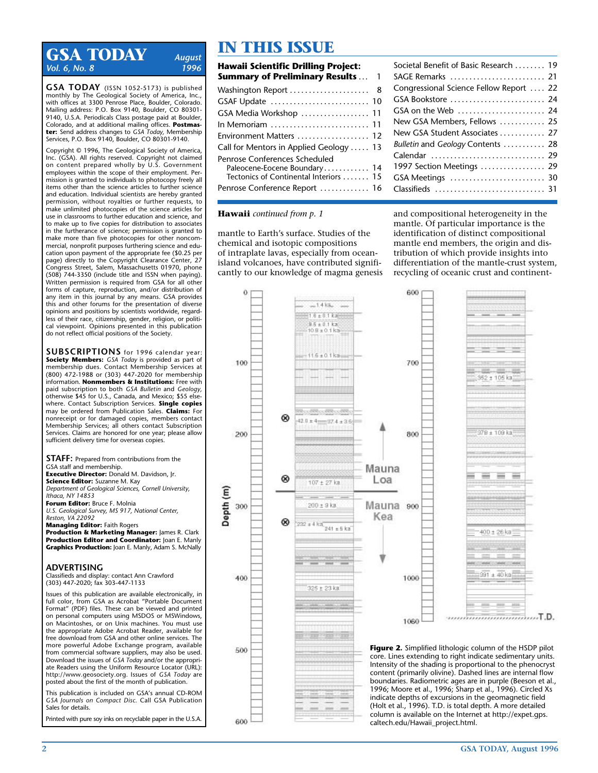# **GSA TODAY** *August Vol. 6, No. 8*

**GSA TODAY** (ISSN 1052-5173) is published monthly by The Geological Society of America, Inc., with offices at 3300 Penrose Place, Boulder, Colorado. Mailing address: P.O. Box 9140, Boulder, CO 80301- 9140, U.S.A. Periodicals Class postage paid at Boulder, Colorado, and at additional mailing offices. **Postmaster:** Send address changes to *GSA Today,* Membership Services, P.O. Box 9140, Boulder, CO 80301-9140.

Copyright © 1996, The Geological Society of America, Inc. (GSA). All rights reserved. Copyright not claimed on content prepared wholly by U.S. Government employees within the scope of their employment. Permission is granted to individuals to photocopy freely all items other than the science articles to further science and education. Individual scientists are hereby granted permission, without royalties or further requests, to make unlimited photocopies of the science articles for use in classrooms to further education and science, and to make up to five copies for distribution to associates in the furtherance of science; permission is granted to make more than five photocopies for other noncommercial, nonprofit purposes furthering science and education upon payment of the appropriate fee (\$0.25 per page) directly to the Copyright Clearance Center, 27 Congress Street, Salem, Massachusetts 01970, phone (508) 744-3350 (include title and ISSN when paying). Written permission is required from GSA for all other forms of capture, reproduction, and/or distribution of any item in this journal by any means. GSA provides this and other forums for the presentation of diverse opinions and positions by scientists worldwide, regardless of their race, citizenship, gender, religion, or political viewpoint. Opinions presented in this publication do not reflect official positions of the Society.

**SUBSCRIPTIONS** for 1996 calendar year: **Society Members:** *GSA Today* is provided as part of membership dues. Contact Membership Services at (800) 472-1988 or (303) 447-2020 for membership information. **Nonmembers & Institutions:** Free with paid subscription to both *GSA Bulletin* and *Geology,* otherwise \$45 for U.S., Canada, and Mexico; \$55 elsewhere. Contact Subscription Services. **Single copies** may be ordered from Publication Sales. **Claims:** For nonreceipt or for damaged copies, members contact Membership Services; all others contact Subscription Services. Claims are honored for one year; please allow sufficient delivery time for overseas copies.

**STAFF:** Prepared from contributions from the GSA staff and membership. **Executive Director:** Donald M. Davidson, Jr. **Science Editor:** Suzanne M. Kay *Department of Geological Sciences, Cornell University, Ithaca, NY 14853* **Forum Editor:** Bruce F. Molnia *U.S. Geological Survey, MS 917, National Center, Reston, VA 22092*

**Managing Editor:** Faith Rogers **Production & Marketing Manager:** James R. Clark **Production Editor and Coordinator:** Joan E. Manly **Graphics Production:** Joan E. Manly, Adam S. McNally

#### **ADVERTISING**

Classifieds and display: contact Ann Crawford (303) 447-2020; fax 303-447-1133

Issues of this publication are available electronically, in full color, from GSA as Acrobat "Portable Document Format" (PDF) files. These can be viewed and printed on personal computers using MSDOS or MSWindows, on Macintoshes, or on Unix machines. You must use the appropriate Adobe Acrobat Reader, available for free download from GSA and other online services. The more powerful Adobe Exchange program, available from commercial software suppliers, may also be used. Download the issues of *GSA Today* and/or the appropriate Readers using the Uniform Resource Locator (URL): http://www.geosociety.org. Issues of *GSA Today* are posted about the first of the month of publication.

This publication is included on GSA's annual CD-ROM *GSA Journals on Compact Disc.* Call GSA Publication Sales for details.

Printed with pure soy inks on recyclable paper in the U.S.A.

# **IN THIS ISSUE**

| Hawaii Scientific Drilling Project:                                                                    |  |
|--------------------------------------------------------------------------------------------------------|--|
| <b>Summary of Preliminary Results</b> 1                                                                |  |
|                                                                                                        |  |
| GSAF Update  10                                                                                        |  |
| GSA Media Workshop  11                                                                                 |  |
| In Memoriam $\ldots \ldots \ldots \ldots \ldots \ldots \ldots$ 11                                      |  |
| Environment Matters  12                                                                                |  |
| Call for Mentors in Applied Geology  13                                                                |  |
| Penrose Conferences Scheduled<br>Paleocene-Eocene Boundary 14<br>Tectonics of Continental Interiors 15 |  |
| Penrose Conference Report  16                                                                          |  |

| Societal Benefit of Basic Research  19  |
|-----------------------------------------|
| SAGE Remarks  21                        |
| Congressional Science Fellow Report  22 |
| GSA Bookstore  24                       |
| GSA on the Web  24                      |
| New GSA Members, Fellows  25            |
| New GSA Student Associates  27          |
| Bulletin and Geology Contents  28       |
| Calendar  29                            |
| 1997 Section Meetings  29               |
|                                         |
| Classifieds  31                         |

### **Hawaii** *continued from p. 1*

mantle to Earth's surface. Studies of the chemical and isotopic compositions of intraplate lavas, especially from oceanisland volcanoes, have contributed significantly to our knowledge of magma genesis and compositional heterogeneity in the mantle. Of particular importance is the identification of distinct compositional mantle end members, the origin and distribution of which provide insights into differentiation of the mantle-crust system, recycling of oceanic crust and continent-

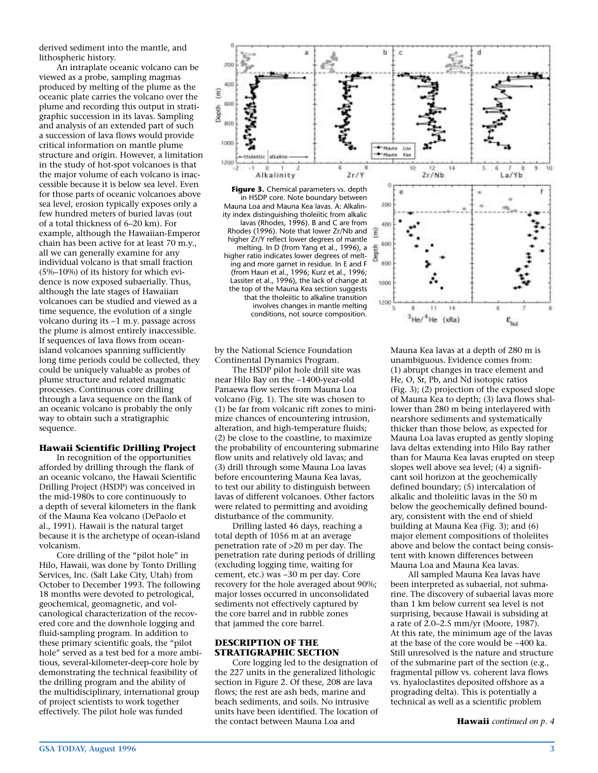derived sediment into the mantle, and lithospheric history.

An intraplate oceanic volcano can be viewed as a probe, sampling magmas produced by melting of the plume as the oceanic plate carries the volcano over the plume and recording this output in stratigraphic succession in its lavas. Sampling and analysis of an extended part of such a succession of lava flows would provide critical information on mantle plume structure and origin. However, a limitation in the study of hot-spot volcanoes is that the major volume of each volcano is inaccessible because it is below sea level. Even for those parts of oceanic volcanoes above sea level, erosion typically exposes only a few hundred meters of buried lavas (out of a total thickness of 6–20 km). For example, although the Hawaiian-Emperor chain has been active for at least 70 m.y., all we can generally examine for any individual volcano is that small fraction (5%–10%) of its history for which evidence is now exposed subaerially. Thus, although the late stages of Hawaiian volcanoes can be studied and viewed as a time sequence, the evolution of a single volcano during its ~1 m.y. passage across the plume is almost entirely inaccessible. If sequences of lava flows from oceanisland volcanoes spanning sufficiently long time periods could be collected, they could be uniquely valuable as probes of plume structure and related magmatic processes. Continuous core drilling through a lava sequence on the flank of an oceanic volcano is probably the only way to obtain such a stratigraphic sequence.

#### **Hawaii Scientific Drilling Project**

In recognition of the opportunities afforded by drilling through the flank of an oceanic volcano, the Hawaii Scientific Drilling Project (HSDP) was conceived in the mid-1980s to core continuously to a depth of several kilometers in the flank of the Mauna Kea volcano (DePaolo et al., 1991). Hawaii is the natural target because it is the archetype of ocean-island volcanism.

Core drilling of the "pilot hole" in Hilo, Hawaii, was done by Tonto Drilling Services, Inc. (Salt Lake City, Utah) from October to December 1993. The following 18 months were devoted to petrological, geochemical, geomagnetic, and volcanological characterization of the recovered core and the downhole logging and fluid-sampling program. In addition to these primary scientific goals, the "pilot hole" served as a test bed for a more ambitious, several-kilometer-deep-core hole by demonstrating the technical feasibility of the drilling program and the ability of the multidisciplinary, international group of project scientists to work together effectively. The pilot hole was funded



**Figure 3.** Chemical parameters vs. depth in HSDP core. Note boundary between Mauna Loa and Mauna Kea lavas. A: Alkalinity index distinguishing tholeiitic from alkalic lavas (Rhodes, 1996). B and C are from Rhodes (1996). Note that lower Zr/Nb and higher Zr/Y reflect lower degrees of mantle melting. In D (from Yang et al., 1996), a higher ratio indicates lower degrees of melting and more garnet in residue. In E and F (from Hauri et al., 1996; Kurz et al., 1996; Lassiter et al., 1996), the lack of change at the top of the Mauna Kea section suggests that the tholeiitic to alkaline transition involves changes in mantle melting conditions, not source composition.



by the National Science Foundation Continental Dynamics Program.

The HSDP pilot hole drill site was near Hilo Bay on the ~1400-year-old Panaewa flow series from Mauna Loa volcano (Fig. 1). The site was chosen to (1) be far from volcanic rift zones to minimize chances of encountering intrusion, alteration, and high-temperature fluids; (2) be close to the coastline, to maximize the probability of encountering submarine flow units and relatively old lavas; and (3) drill through some Mauna Loa lavas before encountering Mauna Kea lavas, to test our ability to distinguish between lavas of different volcanoes. Other factors were related to permitting and avoiding disturbance of the community.

Drilling lasted 46 days, reaching a total depth of 1056 m at an average penetration rate of >20 m per day. The penetration rate during periods of drilling (excluding logging time, waiting for cement, etc.) was ~30 m per day. Core recovery for the hole averaged about 90%; major losses occurred in unconsolidated sediments not effectively captured by the core barrel and in rubble zones that jammed the core barrel.

#### **DESCRIPTION OF THE STRATIGRAPHIC SECTION**

Core logging led to the designation of the 227 units in the generalized lithologic section in Figure 2. Of these, 208 are lava flows; the rest are ash beds, marine and beach sediments, and soils. No intrusive units have been identified. The location of the contact between Mauna Loa and

Mauna Kea lavas at a depth of 280 m is unambiguous. Evidence comes from: (1) abrupt changes in trace element and He, O, Sr, Pb, and Nd isotopic ratios (Fig. 3); (2) projection of the exposed slope of Mauna Kea to depth; (3) lava flows shallower than 280 m being interlayered with nearshore sediments and systematically thicker than those below, as expected for Mauna Loa lavas erupted as gently sloping lava deltas extending into Hilo Bay rather than for Mauna Kea lavas erupted on steep slopes well above sea level; (4) a significant soil horizon at the geochemically defined boundary; (5) intercalation of alkalic and tholeiitic lavas in the 50 m below the geochemically defined boundary, consistent with the end of shield building at Mauna Kea (Fig. 3); and (6) major element compositions of tholeiites above and below the contact being consistent with known differences between Mauna Loa and Mauna Kea lavas.

All sampled Mauna Kea lavas have been interpreted as subaerial, not submarine. The discovery of subaerial lavas more than 1 km below current sea level is not surprising, because Hawaii is subsiding at a rate of 2.0–2.5 mm/yr (Moore, 1987). At this rate, the minimum age of the lavas at the base of the core would be  $~100$  ka. Still unresolved is the nature and structure of the submarine part of the section (e.g., fragmental pillow vs. coherent lava flows vs. hyaloclastites deposited offshore as a prograding delta). This is potentially a technical as well as a scientific problem

**Hawaii** *continued on p. 4*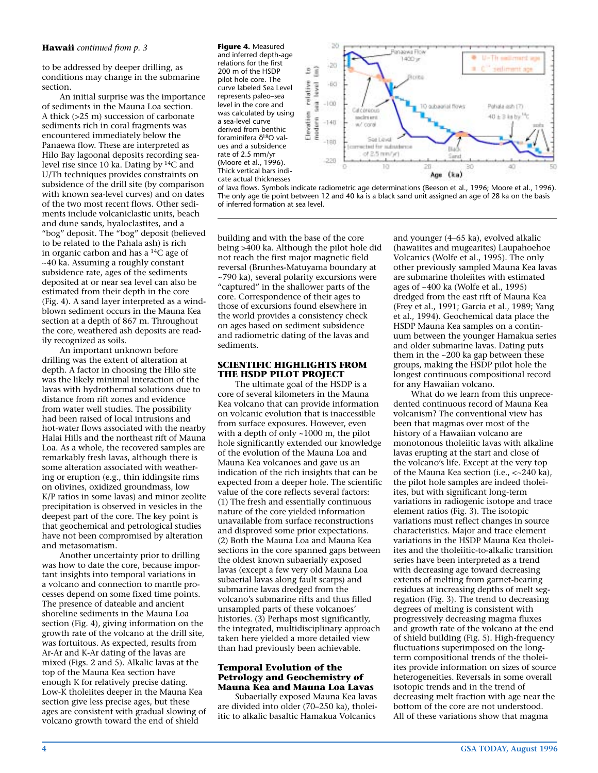## **Hawaii** *continued from p. 3* **Figure 4.** Measured

to be addressed by deeper drilling, as conditions may change in the submarine section.

An initial surprise was the importance of sediments in the Mauna Loa section. A thick (>25 m) succession of carbonate sediments rich in coral fragments was encountered immediately below the Panaewa flow. These are interpreted as Hilo Bay lagoonal deposits recording sealevel rise since 10 ka. Dating by 14C and U/Th techniques provides constraints on subsidence of the drill site (by comparison with known sea-level curves) and on dates of the two most recent flows. Other sediments include volcaniclastic units, beach and dune sands, hyaloclastites, and a "bog" deposit. The "bog" deposit (believed to be related to the Pahala ash) is rich in organic carbon and has a  $^{14}C$  age of ~40 ka. Assuming a roughly constant subsidence rate, ages of the sediments deposited at or near sea level can also be estimated from their depth in the core (Fig. 4). A sand layer interpreted as a windblown sediment occurs in the Mauna Kea section at a depth of 867 m. Throughout the core, weathered ash deposits are readily recognized as soils.

An important unknown before drilling was the extent of alteration at depth. A factor in choosing the Hilo site was the likely minimal interaction of the lavas with hydrothermal solutions due to distance from rift zones and evidence from water well studies. The possibility had been raised of local intrusions and hot-water flows associated with the nearby Halai Hills and the northeast rift of Mauna Loa. As a whole, the recovered samples are remarkably fresh lavas, although there is some alteration associated with weathering or eruption (e.g., thin iddingsite rims on olivines, oxidized groundmass, low K/P ratios in some lavas) and minor zeolite precipitation is observed in vesicles in the deepest part of the core. The key point is that geochemical and petrological studies have not been compromised by alteration and metasomatism.

Another uncertainty prior to drilling was how to date the core, because important insights into temporal variations in a volcano and connection to mantle processes depend on some fixed time points. The presence of dateable and ancient shoreline sediments in the Mauna Loa section (Fig. 4), giving information on the growth rate of the volcano at the drill site, was fortuitous. As expected, results from Ar-Ar and K-Ar dating of the lavas are mixed (Figs. 2 and 5). Alkalic lavas at the top of the Mauna Kea section have enough K for relatively precise dating. Low-K tholeiites deeper in the Mauna Kea section give less precise ages, but these ages are consistent with gradual slowing of volcano growth toward the end of shield

and inferred depth-age relations for the first 200 m of the HSDP pilot hole core. The curve labeled Sea Level represents paleo–sea level in the core and was calculated by using a sea-level curve derived from benthic foraminifera δ18O values and a subsidence rate of 2.5 mm/yr (Moore et al., 1996). Thick vertical bars indicate actual thicknesses



of lava flows. Symbols indicate radiometric age determinations (Beeson et al., 1996; Moore et al., 1996). The only age tie point between 12 and 40 ka is a black sand unit assigned an age of 28 ka on the basis of inferred formation at sea level.

building and with the base of the core being >400 ka. Although the pilot hole did not reach the first major magnetic field reversal (Brunhes-Matuyama boundary at ~790 ka), several polarity excursions were "captured" in the shallower parts of the core. Correspondence of their ages to those of excursions found elsewhere in the world provides a consistency check on ages based on sediment subsidence and radiometric dating of the lavas and sediments.

#### **SCIENTIFIC HIGHLIGHTS FROM THE HSDP PILOT PROJECT**

The ultimate goal of the HSDP is a core of several kilometers in the Mauna Kea volcano that can provide information on volcanic evolution that is inaccessible from surface exposures. However, even with a depth of only ~1000 m, the pilot hole significantly extended our knowledge of the evolution of the Mauna Loa and Mauna Kea volcanoes and gave us an indication of the rich insights that can be expected from a deeper hole. The scientific value of the core reflects several factors: (1) The fresh and essentially continuous nature of the core yielded information unavailable from surface reconstructions and disproved some prior expectations. (2) Both the Mauna Loa and Mauna Kea sections in the core spanned gaps between the oldest known subaerially exposed lavas (except a few very old Mauna Loa subaerial lavas along fault scarps) and submarine lavas dredged from the volcano's submarine rifts and thus filled unsampled parts of these volcanoes' histories. (3) Perhaps most significantly, the integrated, multidisciplinary approach taken here yielded a more detailed view than had previously been achievable.

## **Temporal Evolution of the Petrology and Geochemistry of Mauna Kea and Mauna Loa Lavas**

Subaerially exposed Mauna Kea lavas are divided into older (70–250 ka), tholeiitic to alkalic basaltic Hamakua Volcanics

and younger (4–65 ka), evolved alkalic (hawaiites and mugearites) Laupahoehoe Volcanics (Wolfe et al., 1995). The only other previously sampled Mauna Kea lavas are submarine tholeiites with estimated ages of ~400 ka (Wolfe et al., 1995) dredged from the east rift of Mauna Kea (Frey et al., 1991; Garcia et al., 1989; Yang et al., 1994). Geochemical data place the HSDP Mauna Kea samples on a continuum between the younger Hamakua series and older submarine lavas. Dating puts them in the ~200 ka gap between these groups, making the HSDP pilot hole the longest continuous compositional record for any Hawaiian volcano.

What do we learn from this unprecedented continuous record of Mauna Kea volcanism? The conventional view has been that magmas over most of the history of a Hawaiian volcano are monotonous tholeiitic lavas with alkaline lavas erupting at the start and close of the volcano's life. Except at the very top of the Mauna Kea section (i.e., <~240 ka), the pilot hole samples are indeed tholeiites, but with significant long-term variations in radiogenic isotope and trace element ratios (Fig. 3). The isotopic variations must reflect changes in source characteristics. Major and trace element variations in the HSDP Mauna Kea tholeiites and the tholeiitic-to-alkalic transition series have been interpreted as a trend with decreasing age toward decreasing extents of melting from garnet-bearing residues at increasing depths of melt segregation (Fig. 3). The trend to decreasing degrees of melting is consistent with progressively decreasing magma fluxes and growth rate of the volcano at the end of shield building (Fig. 5). High-frequency fluctuations superimposed on the longterm compositional trends of the tholeiites provide information on sizes of source heterogeneities. Reversals in some overall isotopic trends and in the trend of decreasing melt fraction with age near the bottom of the core are not understood. All of these variations show that magma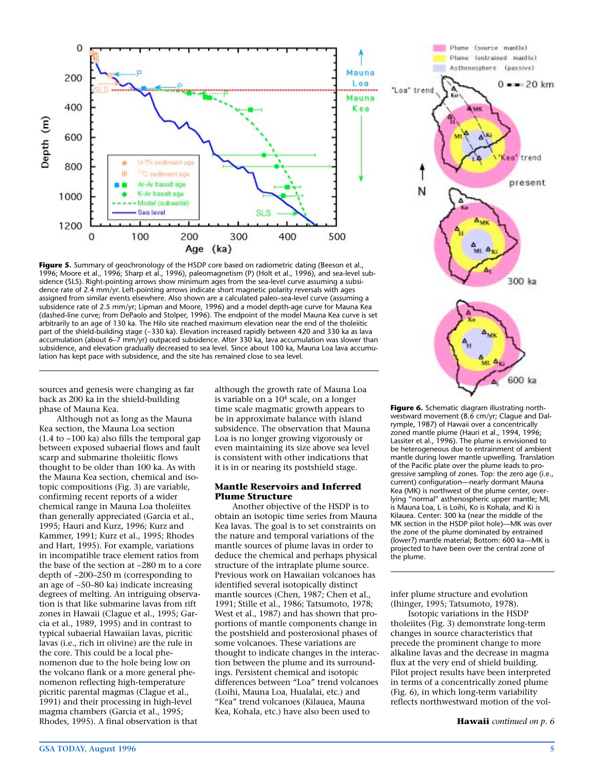

Figure 5. Summary of geochronology of the HSDP core based on radiometric dating (Beeson et al., 1996; Moore et al., 1996; Sharp et al., 1996), paleomagnetism (P) (Holt et al., 1996), and sea-level subsidence (SLS). Right-pointing arrows show minimum ages from the sea-level curve assuming a subsidence rate of 2.4 mm/yr. Left-pointing arrows indicate short magnetic polarity reversals with ages assigned from similar events elsewhere. Also shown are a calculated paleo–sea-level curve (assuming a subsidence rate of 2.5 mm/yr; Lipman and Moore, 1996) and a model depth-age curve for Mauna Kea (dashed-line curve; from DePaolo and Stolper, 1996). The endpoint of the model Mauna Kea curve is set arbitrarily to an age of 130 ka. The Hilo site reached maximum elevation near the end of the tholeiitic part of the shield-building stage (~330 ka). Elevation increased rapidly between 420 and 330 ka as lava accumulation (about 6–7 mm/yr) outpaced subsidence. After 330 ka, lava accumulation was slower than subsidence, and elevation gradually decreased to sea level. Since about 100 ka, Mauna Loa lava accumulation has kept pace with subsidence, and the site has remained close to sea level.

sources and genesis were changing as far back as 200 ka in the shield-building phase of Mauna Kea.

Although not as long as the Mauna Kea section, the Mauna Loa section  $(1.4$  to  $~100$  ka) also fills the temporal gap between exposed subaerial flows and fault scarp and submarine tholeiitic flows thought to be older than 100 ka. As with the Mauna Kea section, chemical and isotopic compositions (Fig. 3) are variable, confirming recent reports of a wider chemical range in Mauna Loa tholeiites than generally appreciated (Garcia et al., 1995; Hauri and Kurz, 1996; Kurz and Kammer, 1991; Kurz et al., 1995; Rhodes and Hart, 1995). For example, variations in incompatible trace element ratios from the base of the section at ~280 m to a core depth of ~200–250 m (corresponding to an age of ~50–80 ka) indicate increasing degrees of melting. An intriguing observation is that like submarine lavas from rift zones in Hawaii (Clague et al., 1995; Garcia et al., 1989, 1995) and in contrast to typical subaerial Hawaiian lavas, picritic lavas (i.e., rich in olivine) are the rule in the core. This could be a local phenomenon due to the hole being low on the volcano flank or a more general phenomenon reflecting high-temperature picritic parental magmas (Clague et al., 1991) and their processing in high-level magma chambers (Garcia et al., 1995; Rhodes, 1995). A final observation is that

although the growth rate of Mauna Loa is variable on a 104 scale, on a longer time scale magmatic growth appears to be in approximate balance with island subsidence. The observation that Mauna Loa is no longer growing vigorously or even maintaining its size above sea level is consistent with other indications that it is in or nearing its postshield stage.

#### **Mantle Reservoirs and Inferred Plume Structure**

Another objective of the HSDP is to obtain an isotopic time series from Mauna Kea lavas. The goal is to set constraints on the nature and temporal variations of the mantle sources of plume lavas in order to deduce the chemical and perhaps physical structure of the intraplate plume source. Previous work on Hawaiian volcanoes has identified several isotopically distinct mantle sources (Chen, 1987; Chen et al., 1991; Stille et al., 1986; Tatsumoto, 1978; West et al., 1987) and has shown that proportions of mantle components change in the postshield and posterosional phases of some volcanoes. These variations are thought to indicate changes in the interaction between the plume and its surroundings. Persistent chemical and isotopic differences between "Loa" trend volcanoes (Loihi, Mauna Loa, Hualalai, etc.) and "Kea" trend volcanoes (Kilauea, Mauna Kea, Kohala, etc.) have also been used to



**Figure 6.** Schematic diagram illustrating northwestward movement (8.6 cm/yr; Clague and Dalrymple, 1987) of Hawaii over a concentrically zoned mantle plume (Hauri et al., 1994, 1996; Lassiter et al., 1996). The plume is envisioned to be heterogeneous due to entrainment of ambient mantle during lower mantle upwelling. Translation of the Pacific plate over the plume leads to progressive sampling of zones. Top: the zero age (i.e., current) configuration—nearly dormant Mauna Kea (MK) is northwest of the plume center, overlying "normal" asthenospheric upper mantle; ML is Mauna Loa, L is Loihi, Ko is Kohala, and Ki is Kilauea. Center: 300 ka (near the middle of the MK section in the HSDP pilot hole)-MK was over the zone of the plume dominated by entrained (lower?) mantle material; Bottom: 600 ka—MK is projected to have been over the central zone of the plume.

infer plume structure and evolution (Ihinger, 1995; Tatsumoto, 1978).

Isotopic variations in the HSDP tholeiites (Fig. 3) demonstrate long-term changes in source characteristics that precede the prominent change to more alkaline lavas and the decrease in magma flux at the very end of shield building. Pilot project results have been interpreted in terms of a concentrically zoned plume (Fig. 6), in which long-term variability reflects northwestward motion of the vol-

**Hawaii** *continued on p. 6*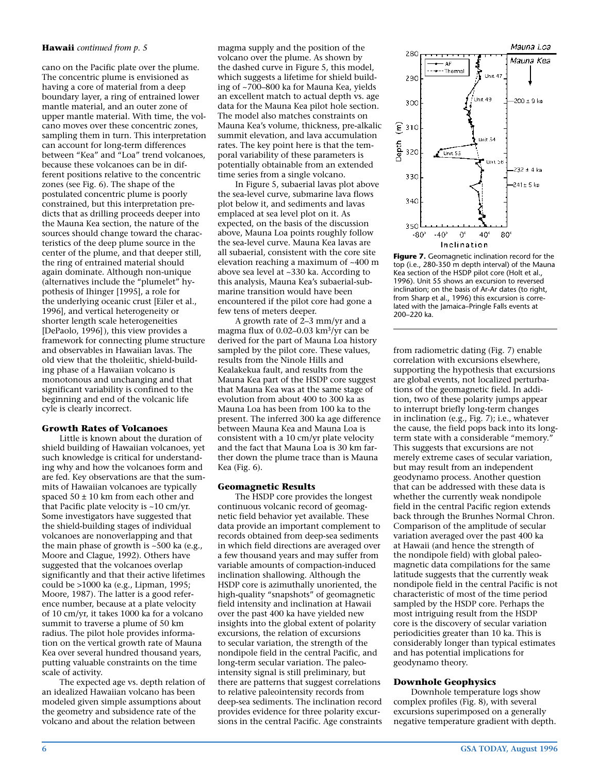#### **Hawaii** *continued from p. 5*

cano on the Pacific plate over the plume. The concentric plume is envisioned as having a core of material from a deep boundary layer, a ring of entrained lower mantle material, and an outer zone of upper mantle material. With time, the volcano moves over these concentric zones, sampling them in turn. This interpretation can account for long-term differences between "Kea" and "Loa" trend volcanoes, because these volcanoes can be in different positions relative to the concentric zones (see Fig. 6). The shape of the postulated concentric plume is poorly constrained, but this interpretation predicts that as drilling proceeds deeper into the Mauna Kea section, the nature of the sources should change toward the characteristics of the deep plume source in the center of the plume, and that deeper still, the ring of entrained material should again dominate. Although non-unique (alternatives include the "plumelet" hypothesis of Ihinger [1995], a role for the underlying oceanic crust [Eiler et al., 1996], and vertical heterogeneity or shorter length scale heterogeneities [DePaolo, 1996]), this view provides a framework for connecting plume structure and observables in Hawaiian lavas. The old view that the tholeiitic, shield-building phase of a Hawaiian volcano is monotonous and unchanging and that significant variability is confined to the beginning and end of the volcanic life cyle is clearly incorrect.

### **Growth Rates of Volcanoes**

Little is known about the duration of shield building of Hawaiian volcanoes, yet such knowledge is critical for understanding why and how the volcanoes form and are fed. Key observations are that the summits of Hawaiian volcanoes are typically spaced  $50 \pm 10$  km from each other and that Pacific plate velocity is ~10 cm/yr. Some investigators have suggested that the shield-building stages of individual volcanoes are nonoverlapping and that the main phase of growth is ~500 ka (e.g., Moore and Clague, 1992). Others have suggested that the volcanoes overlap significantly and that their active lifetimes could be >1000 ka (e.g., Lipman, 1995; Moore, 1987). The latter is a good reference number, because at a plate velocity of 10 cm/yr, it takes 1000 ka for a volcano summit to traverse a plume of 50 km radius. The pilot hole provides information on the vertical growth rate of Mauna Kea over several hundred thousand years, putting valuable constraints on the time scale of activity.

The expected age vs. depth relation of an idealized Hawaiian volcano has been modeled given simple assumptions about the geometry and subsidence rate of the volcano and about the relation between

magma supply and the position of the volcano over the plume. As shown by the dashed curve in Figure 5, this model, which suggests a lifetime for shield building of ~700–800 ka for Mauna Kea, yields an excellent match to actual depth vs. age data for the Mauna Kea pilot hole section. The model also matches constraints on Mauna Kea's volume, thickness, pre-alkalic summit elevation, and lava accumulation rates. The key point here is that the temporal variability of these parameters is potentially obtainable from an extended time series from a single volcano.

In Figure 5, subaerial lavas plot above the sea-level curve, submarine lava flows plot below it, and sediments and lavas emplaced at sea level plot on it. As expected, on the basis of the discussion above, Mauna Loa points roughly follow the sea-level curve. Mauna Kea lavas are all subaerial, consistent with the core site elevation reaching a maximum of ~400 m above sea level at ~330 ka. According to this analysis, Mauna Kea's subaerial-submarine transition would have been encountered if the pilot core had gone a few tens of meters deeper.

A growth rate of 2–3 mm/yr and a magma flux of 0.02–0.03 km3/yr can be derived for the part of Mauna Loa history sampled by the pilot core. These values, results from the Ninole Hills and Kealakekua fault, and results from the Mauna Kea part of the HSDP core suggest that Mauna Kea was at the same stage of evolution from about 400 to 300 ka as Mauna Loa has been from 100 ka to the present. The inferred 300 ka age difference between Mauna Kea and Mauna Loa is consistent with a 10 cm/yr plate velocity and the fact that Mauna Loa is 30 km farther down the plume trace than is Mauna Kea (Fig. 6).

#### **Geomagnetic Results**

The HSDP core provides the longest continuous volcanic record of geomagnetic field behavior yet available. These data provide an important complement to records obtained from deep-sea sediments in which field directions are averaged over a few thousand years and may suffer from variable amounts of compaction-induced inclination shallowing. Although the HSDP core is azimuthally unoriented, the high-quality "snapshots" of geomagnetic field intensity and inclination at Hawaii over the past 400 ka have yielded new insights into the global extent of polarity excursions, the relation of excursions to secular variation, the strength of the nondipole field in the central Pacific, and long-term secular variation. The paleointensity signal is still preliminary, but there are patterns that suggest correlations to relative paleointensity records from deep-sea sediments. The inclination record provides evidence for three polarity excursions in the central Pacific. Age constraints



**Figure 7.** Geomagnetic inclination record for the top (i.e., 280-350 m depth interval) of the Mauna Kea section of the HSDP pilot core (Holt et al., 1996). Unit 55 shows an excursion to reversed inclination; on the basis of Ar-Ar dates (to right, from Sharp et al., 1996) this excursion is correlated with the Jamaica–Pringle Falls events at 200–220 ka.

from radiometric dating (Fig. 7) enable correlation with excursions elsewhere, supporting the hypothesis that excursions are global events, not localized perturbations of the geomagnetic field. In addition, two of these polarity jumps appear to interrupt briefly long-term changes in inclination (e.g., Fig. 7); i.e., whatever the cause, the field pops back into its longterm state with a considerable "memory." This suggests that excursions are not merely extreme cases of secular variation, but may result from an independent geodynamo process. Another question that can be addressed with these data is whether the currently weak nondipole field in the central Pacific region extends back through the Brunhes Normal Chron. Comparison of the amplitude of secular variation averaged over the past 400 ka at Hawaii (and hence the strength of the nondipole field) with global paleomagnetic data compilations for the same latitude suggests that the currently weak nondipole field in the central Pacific is not characteristic of most of the time period sampled by the HSDP core. Perhaps the most intriguing result from the HSDP core is the discovery of secular variation periodicities greater than 10 ka. This is considerably longer than typical estimates and has potential implications for geodynamo theory.

#### **Downhole Geophysics**

Downhole temperature logs show complex profiles (Fig. 8), with several excursions superimposed on a generally negative temperature gradient with depth.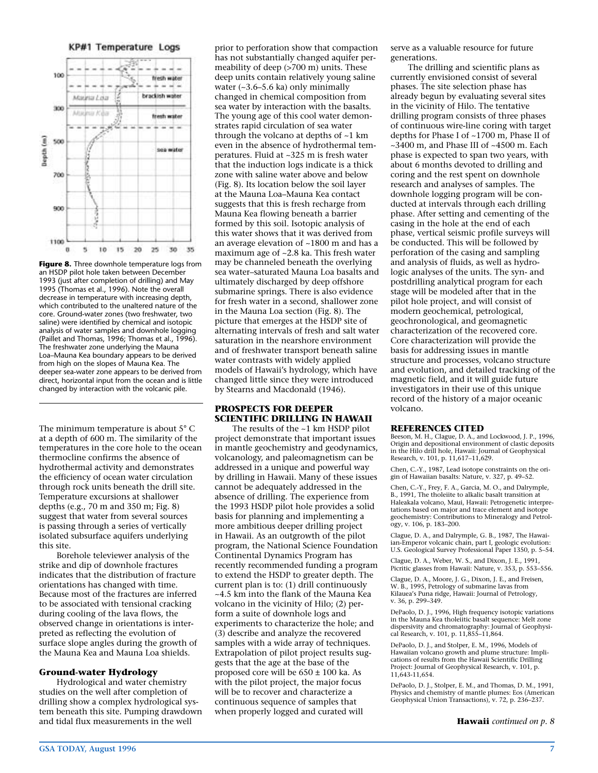KP#1 Temperature Logs



**Figure 8.** Three downhole temperature logs from an HSDP pilot hole taken between December 1993 (just after completion of drilling) and May 1995 (Thomas et al., 1996). Note the overall decrease in temperature with increasing depth, which contributed to the unaltered nature of the core. Ground-water zones (two freshwater, two saline) were identified by chemical and isotopic analysis of water samples and downhole logging (Paillet and Thomas, 1996; Thomas et al., 1996). The freshwater zone underlying the Mauna Loa–Mauna Kea boundary appears to be derived from high on the slopes of Mauna Kea. The deeper sea-water zone appears to be derived from direct, horizontal input from the ocean and is little changed by interaction with the volcanic pile.

The minimum temperature is about 5° C at a depth of 600 m. The similarity of the temperatures in the core hole to the ocean thermocline confirms the absence of hydrothermal activity and demonstrates the efficiency of ocean water circulation through rock units beneath the drill site. Temperature excursions at shallower depths (e.g., 70 m and 350 m; Fig. 8) suggest that water from several sources is passing through a series of vertically isolated subsurface aquifers underlying this site.

Borehole televiewer analysis of the strike and dip of downhole fractures indicates that the distribution of fracture orientations has changed with time. Because most of the fractures are inferred to be associated with tensional cracking during cooling of the lava flows, the observed change in orientations is interpreted as reflecting the evolution of surface slope angles during the growth of the Mauna Kea and Mauna Loa shields.

#### **Ground-water Hydrology**

Hydrological and water chemistry studies on the well after completion of drilling show a complex hydrological system beneath this site. Pumping drawdown and tidal flux measurements in the well

prior to perforation show that compaction has not substantially changed aquifer permeability of deep (>700 m) units. These deep units contain relatively young saline water  $(-3.6-5.6 \text{ ka})$  only minimally changed in chemical composition from sea water by interaction with the basalts. The young age of this cool water demonstrates rapid circulation of sea water through the volcano at depths of ~1 km even in the absence of hydrothermal temperatures. Fluid at ~325 m is fresh water that the induction logs indicate is a thick zone with saline water above and below (Fig. 8). Its location below the soil layer at the Mauna Loa–Mauna Kea contact suggests that this is fresh recharge from Mauna Kea flowing beneath a barrier formed by this soil. Isotopic analysis of this water shows that it was derived from an average elevation of ~1800 m and has a maximum age of ~2.8 ka. This fresh water may be channeled beneath the overlying sea water–saturated Mauna Loa basalts and ultimately discharged by deep offshore submarine springs. There is also evidence for fresh water in a second, shallower zone in the Mauna Loa section (Fig. 8). The picture that emerges at the HSDP site of alternating intervals of fresh and salt water saturation in the nearshore environment and of freshwater transport beneath saline water contrasts with widely applied models of Hawaii's hydrology, which have changed little since they were introduced by Stearns and Macdonald (1946).

#### **PROSPECTS FOR DEEPER SCIENTIFIC DRILLING IN HAWAII**

The results of the ~1 km HSDP pilot project demonstrate that important issues in mantle geochemistry and geodynamics, volcanology, and paleomagnetism can be addressed in a unique and powerful way by drilling in Hawaii. Many of these issues cannot be adequately addressed in the absence of drilling. The experience from the 1993 HSDP pilot hole provides a solid basis for planning and implementing a more ambitious deeper drilling project in Hawaii. As an outgrowth of the pilot program, the National Science Foundation Continental Dynamics Program has recently recommended funding a program to extend the HSDP to greater depth. The current plan is to: (1) drill continuously ~4.5 km into the flank of the Mauna Kea volcano in the vicinity of Hilo; (2) perform a suite of downhole logs and experiments to characterize the hole; and (3) describe and analyze the recovered samples with a wide array of techniques. Extrapolation of pilot project results suggests that the age at the base of the proposed core will be 650 ± 100 ka. As with the pilot project, the major focus will be to recover and characterize a continuous sequence of samples that when properly logged and curated will

serve as a valuable resource for future generations.

The drilling and scientific plans as currently envisioned consist of several phases. The site selection phase has already begun by evaluating several sites in the vicinity of Hilo. The tentative drilling program consists of three phases of continuous wire-line coring with target depths for Phase I of ~1700 m, Phase II of ~3400 m, and Phase III of ~4500 m. Each phase is expected to span two years, with about 6 months devoted to drilling and coring and the rest spent on downhole research and analyses of samples. The downhole logging program will be conducted at intervals through each drilling phase. After setting and cementing of the casing in the hole at the end of each phase, vertical seismic profile surveys will be conducted. This will be followed by perforation of the casing and sampling and analysis of fluids, as well as hydrologic analyses of the units. The syn- and postdrilling analytical program for each stage will be modeled after that in the pilot hole project, and will consist of modern geochemical, petrological, geochronological, and geomagnetic characterization of the recovered core. Core characterization will provide the basis for addressing issues in mantle structure and processes, volcano structure and evolution, and detailed tracking of the magnetic field, and it will guide future investigators in their use of this unique record of the history of a major oceanic volcano.

#### **REFERENCES CITED**

Beeson, M. H., Clague, D. A., and Lockwood, J. P., 1996, Origin and depositional environment of clastic deposits in the Hilo drill hole, Hawaii: Journal of Geophysical Research, v. 101, p. 11,617–11,629.

Chen, C.-Y., 1987, Lead isotope constraints on the origin of Hawaiian basalts: Nature, v. 327, p. 49–52.

Chen, C.-Y., Frey, F. A., Garcia, M. O., and Dalrymple, B., 1991, The tholeiite to alkalic basalt transition at Haleakala volcano, Maui, Hawaii: Petrogenetic interpretations based on major and trace element and isotope geochemistry: Contributions to Mineralogy and Petrology, v. 106, p. 183–200.

Clague, D. A., and Dalrymple, G. B., 1987, The Hawaiian-Emperor volcanic chain, part I, geologic evolution: U.S. Geological Survey Professional Paper 1350, p. 5–54.

Clague, D. A., Weber, W. S., and Dixon, J. E., 1991, Picritic glasses from Hawaii: Nature, v. 353, p. 553–556.

Clague, D. A., Moore, J. G., Dixon, J. E., and Freisen, W. B., 1995, Petrology of submarine lavas from Kilauea's Puna ridge, Hawaii: Journal of Petrology, v. 36, p. 299–349.

DePaolo, D. J., 1996, High frequency isotopic variations in the Mauna Kea tholeiitic basalt sequence: Melt zone dispersivity and chromatography: Journal of Geophysical Research, v. 101, p. 11,855–11,864.

DePaolo, D. J., and Stolper, E. M., 1996, Models of Hawaiian volcano growth and plume structure: Implications of results from the Hawaii Scientific Drilling Project: Journal of Geophysical Research, v. 101, p. 11,643-11,654.

DePaolo, D. J., Stolper, E. M., and Thomas, D. M., 1991, Physics and chemistry of mantle plumes: Eos (American Geophysical Union Transactions), v. 72, p. 236–237.

**Hawaii** *continued on p. 8*